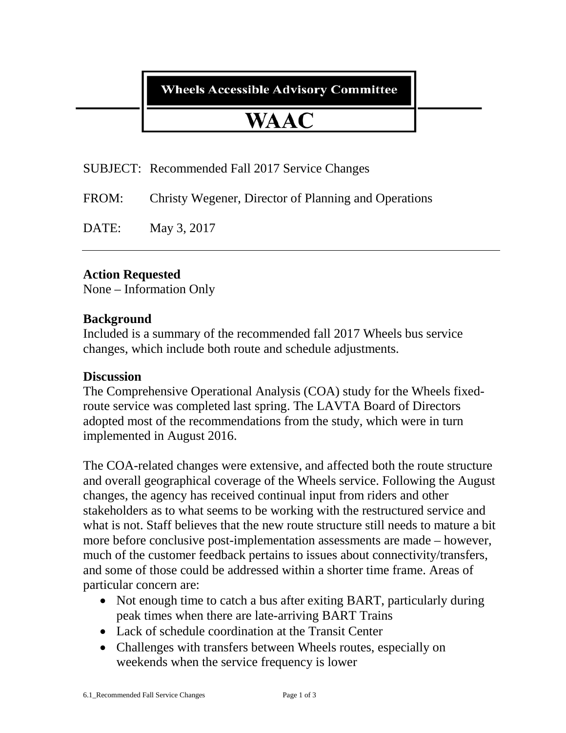**Wheels Accessible Advisory Committee** 

# **WAAC**

SUBJECT: Recommended Fall 2017 Service Changes

FROM: Christy Wegener, Director of Planning and Operations

DATE: May 3, 2017

## **Action Requested**

None – Information Only

#### **Background**

Included is a summary of the recommended fall 2017 Wheels bus service changes, which include both route and schedule adjustments.

#### **Discussion**

The Comprehensive Operational Analysis (COA) study for the Wheels fixedroute service was completed last spring. The LAVTA Board of Directors adopted most of the recommendations from the study, which were in turn implemented in August 2016.

The COA-related changes were extensive, and affected both the route structure and overall geographical coverage of the Wheels service. Following the August changes, the agency has received continual input from riders and other stakeholders as to what seems to be working with the restructured service and what is not. Staff believes that the new route structure still needs to mature a bit more before conclusive post-implementation assessments are made – however, much of the customer feedback pertains to issues about connectivity/transfers, and some of those could be addressed within a shorter time frame. Areas of particular concern are:

- Not enough time to catch a bus after exiting BART, particularly during peak times when there are late-arriving BART Trains
- Lack of schedule coordination at the Transit Center
- Challenges with transfers between Wheels routes, especially on weekends when the service frequency is lower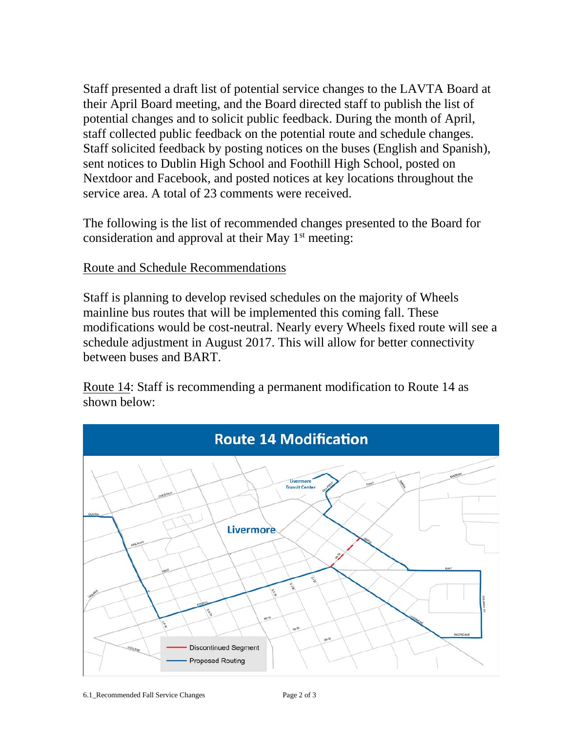Staff presented a draft list of potential service changes to the LAVTA Board at their April Board meeting, and the Board directed staff to publish the list of potential changes and to solicit public feedback. During the month of April, staff collected public feedback on the potential route and schedule changes. Staff solicited feedback by posting notices on the buses (English and Spanish), sent notices to Dublin High School and Foothill High School, posted on Nextdoor and Facebook, and posted notices at key locations throughout the service area. A total of 23 comments were received.

The following is the list of recommended changes presented to the Board for consideration and approval at their May  $1<sup>st</sup>$  meeting:

### Route and Schedule Recommendations

Staff is planning to develop revised schedules on the majority of Wheels mainline bus routes that will be implemented this coming fall. These modifications would be cost-neutral. Nearly every Wheels fixed route will see a schedule adjustment in August 2017. This will allow for better connectivity between buses and BART.

Route 14: Staff is recommending a permanent modification to Route 14 as shown below: